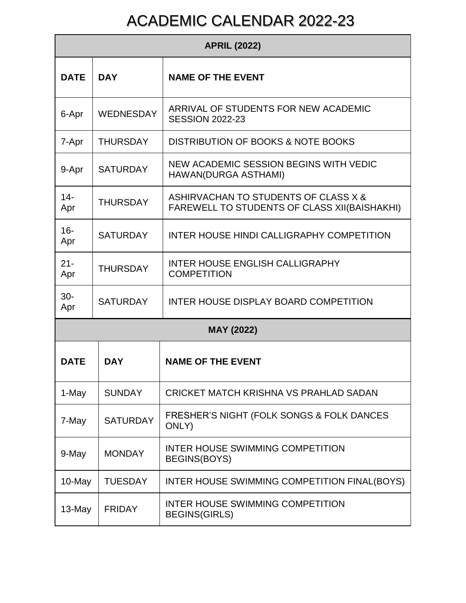## ACADEMIC CALENDAR 2022-23

| <b>APRIL (2022)</b> |                  |                                                                                             |  |
|---------------------|------------------|---------------------------------------------------------------------------------------------|--|
| <b>DATE</b>         | <b>DAY</b>       | <b>NAME OF THE EVENT</b>                                                                    |  |
| 6-Apr               | <b>WEDNESDAY</b> | ARRIVAL OF STUDENTS FOR NEW ACADEMIC<br><b>SESSION 2022-23</b>                              |  |
| 7-Apr               | <b>THURSDAY</b>  | DISTRIBUTION OF BOOKS & NOTE BOOKS                                                          |  |
| 9-Apr               | <b>SATURDAY</b>  | NEW ACADEMIC SESSION BEGINS WITH VEDIC<br>HAWAN(DURGA ASTHAMI)                              |  |
| $14 -$<br>Apr       | <b>THURSDAY</b>  | ASHIRVACHAN TO STUDENTS OF CLASS X &<br><b>FAREWELL TO STUDENTS OF CLASS XII(BAISHAKHI)</b> |  |
| $16 -$<br>Apr       | <b>SATURDAY</b>  | INTER HOUSE HINDI CALLIGRAPHY COMPETITION                                                   |  |
| $21 -$<br>Apr       | <b>THURSDAY</b>  | <b>INTER HOUSE ENGLISH CALLIGRAPHY</b><br><b>COMPETITION</b>                                |  |
| $30-$<br>Apr        | <b>SATURDAY</b>  | INTER HOUSE DISPLAY BOARD COMPETITION                                                       |  |
| <b>MAY (2022)</b>   |                  |                                                                                             |  |
| <b>DATE</b>         | <b>DAY</b>       | <b>NAME OF THE EVENT</b>                                                                    |  |
| 1-May               | <b>SUNDAY</b>    | <b>CRICKET MATCH KRISHNA VS PRAHLAD SADAN</b>                                               |  |
| 7-May               | <b>SATURDAY</b>  | FRESHER'S NIGHT (FOLK SONGS & FOLK DANCES<br>ONLY)                                          |  |
| 9-May               | <b>MONDAY</b>    | INTER HOUSE SWIMMING COMPETITION<br><b>BEGINS(BOYS)</b>                                     |  |
| 10-May              | <b>TUESDAY</b>   | INTER HOUSE SWIMMING COMPETITION FINAL(BOYS)                                                |  |
| 13-May              | <b>FRIDAY</b>    | INTER HOUSE SWIMMING COMPETITION<br><b>BEGINS(GIRLS)</b>                                    |  |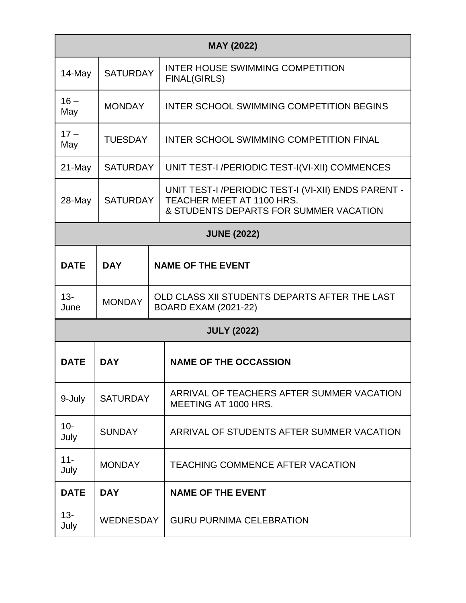| <b>MAY (2022)</b>  |                                        |  |                                                                                                                            |
|--------------------|----------------------------------------|--|----------------------------------------------------------------------------------------------------------------------------|
| 14-May             | <b>SATURDAY</b>                        |  | INTER HOUSE SWIMMING COMPETITION<br><b>FINAL(GIRLS)</b>                                                                    |
| $16-$<br>May       | <b>MONDAY</b>                          |  | INTER SCHOOL SWIMMING COMPETITION BEGINS                                                                                   |
| $17 -$<br>May      | <b>TUESDAY</b>                         |  | <b>INTER SCHOOL SWIMMING COMPETITION FINAL</b>                                                                             |
| 21-May             | <b>SATURDAY</b>                        |  | UNIT TEST-I /PERIODIC TEST-I(VI-XII) COMMENCES                                                                             |
| 28-May             | <b>SATURDAY</b>                        |  | UNIT TEST-I /PERIODIC TEST-I (VI-XII) ENDS PARENT -<br>TEACHER MEET AT 1100 HRS.<br>& STUDENTS DEPARTS FOR SUMMER VACATION |
|                    |                                        |  | <b>JUNE (2022)</b>                                                                                                         |
| <b>DATE</b>        | <b>DAY</b><br><b>NAME OF THE EVENT</b> |  |                                                                                                                            |
| $13 -$<br>June     | <b>MONDAY</b>                          |  | OLD CLASS XII STUDENTS DEPARTS AFTER THE LAST<br><b>BOARD EXAM (2021-22)</b>                                               |
| <b>JULY (2022)</b> |                                        |  |                                                                                                                            |
| <b>DATE</b>        | <b>DAY</b>                             |  | <b>NAME OF THE OCCASSION</b>                                                                                               |
| 9-July             | <b>SATURDAY</b>                        |  | ARRIVAL OF TEACHERS AFTER SUMMER VACATION<br>MEETING AT 1000 HRS.                                                          |
| $10 -$<br>July     | <b>SUNDAY</b>                          |  | ARRIVAL OF STUDENTS AFTER SUMMER VACATION                                                                                  |
| $11 -$<br>July     | <b>MONDAY</b>                          |  | <b>TEACHING COMMENCE AFTER VACATION</b>                                                                                    |
| <b>DATE</b>        | <b>DAY</b>                             |  | <b>NAME OF THE EVENT</b>                                                                                                   |
| $13 -$<br>July     | <b>WEDNESDAY</b>                       |  | <b>GURU PURNIMA CELEBRATION</b>                                                                                            |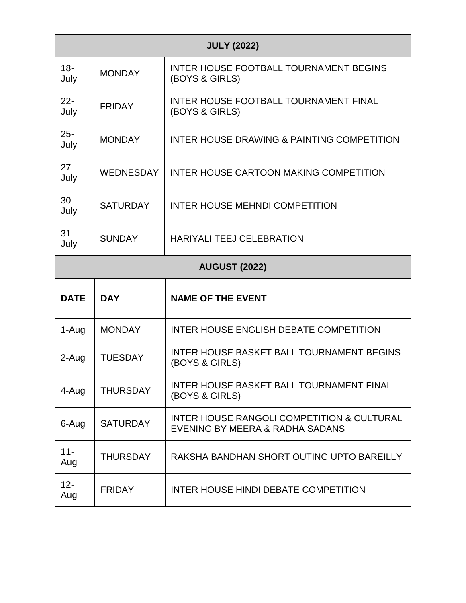| <b>JULY (2022)</b>   |                  |                                                                                          |  |
|----------------------|------------------|------------------------------------------------------------------------------------------|--|
| $18 -$<br>July       | <b>MONDAY</b>    | <b>INTER HOUSE FOOTBALL TOURNAMENT BEGINS</b><br>(BOYS & GIRLS)                          |  |
| $22 -$<br>July       | <b>FRIDAY</b>    | <b>INTER HOUSE FOOTBALL TOURNAMENT FINAL</b><br>(BOYS & GIRLS)                           |  |
| $25 -$<br>July       | <b>MONDAY</b>    | INTER HOUSE DRAWING & PAINTING COMPETITION                                               |  |
| $27 -$<br>July       | <b>WEDNESDAY</b> | INTER HOUSE CARTOON MAKING COMPETITION                                                   |  |
| $30-$<br>July        | <b>SATURDAY</b>  | <b>INTER HOUSE MEHNDI COMPETITION</b>                                                    |  |
| $31 -$<br>July       | <b>SUNDAY</b>    | <b>HARIYALI TEEJ CELEBRATION</b>                                                         |  |
| <b>AUGUST (2022)</b> |                  |                                                                                          |  |
| <b>DATE</b>          | <b>DAY</b>       | <b>NAME OF THE EVENT</b>                                                                 |  |
| 1-Aug                | <b>MONDAY</b>    | <b>INTER HOUSE ENGLISH DEBATE COMPETITION</b>                                            |  |
| 2-Aug                | <b>TUESDAY</b>   | <b>INTER HOUSE BASKET BALL TOURNAMENT BEGINS</b><br>(BOYS & GIRLS)                       |  |
| 4-Aug                | <b>THURSDAY</b>  | <b>INTER HOUSE BASKET BALL TOURNAMENT FINAL</b><br>(BOYS & GIRLS)                        |  |
| 6-Aug                | <b>SATURDAY</b>  | <b>INTER HOUSE RANGOLI COMPETITION &amp; CULTURAL</b><br>EVENING BY MEERA & RADHA SADANS |  |
| $11 -$<br>Aug        | <b>THURSDAY</b>  | RAKSHA BANDHAN SHORT OUTING UPTO BAREILLY                                                |  |
| $12 -$<br>Aug        | <b>FRIDAY</b>    | INTER HOUSE HINDI DEBATE COMPETITION                                                     |  |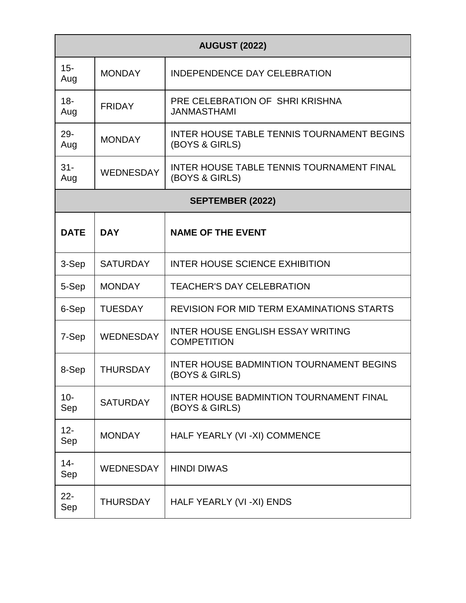| <b>AUGUST (2022)</b>    |                  |                                                                    |  |
|-------------------------|------------------|--------------------------------------------------------------------|--|
| $15 -$<br>Aug           | <b>MONDAY</b>    | <b>INDEPENDENCE DAY CELEBRATION</b>                                |  |
| $18 -$<br>Aug           | <b>FRIDAY</b>    | PRE CELEBRATION OF SHRIKRISHNA<br><b>JANMASTHAMI</b>               |  |
| $29 -$<br>Aug           | <b>MONDAY</b>    | INTER HOUSE TABLE TENNIS TOURNAMENT BEGINS<br>(BOYS & GIRLS)       |  |
| $31 -$<br>Aug           | WEDNESDAY        | <b>INTER HOUSE TABLE TENNIS TOURNAMENT FINAL</b><br>(BOYS & GIRLS) |  |
| <b>SEPTEMBER (2022)</b> |                  |                                                                    |  |
| <b>DATE</b>             | <b>DAY</b>       | <b>NAME OF THE EVENT</b>                                           |  |
| 3-Sep                   | <b>SATURDAY</b>  | <b>INTER HOUSE SCIENCE EXHIBITION</b>                              |  |
| 5-Sep                   | <b>MONDAY</b>    | <b>TEACHER'S DAY CELEBRATION</b>                                   |  |
| 6-Sep                   | <b>TUESDAY</b>   | <b>REVISION FOR MID TERM EXAMINATIONS STARTS</b>                   |  |
| 7-Sep                   | <b>WEDNESDAY</b> | <b>INTER HOUSE ENGLISH ESSAY WRITING</b><br><b>COMPETITION</b>     |  |
| 8-Sep                   | <b>THURSDAY</b>  | <b>INTER HOUSE BADMINTION TOURNAMENT BEGINS</b><br>(BOYS & GIRLS)  |  |
| $10-$<br>Sep            | <b>SATURDAY</b>  | <b>INTER HOUSE BADMINTION TOURNAMENT FINAL</b><br>(BOYS & GIRLS)   |  |
| $12 -$<br>Sep           | <b>MONDAY</b>    | HALF YEARLY (VI-XI) COMMENCE                                       |  |
| $14 -$<br>Sep           | <b>WEDNESDAY</b> | <b>HINDI DIWAS</b>                                                 |  |
| $22 -$<br>Sep           | <b>THURSDAY</b>  | HALF YEARLY (VI -XI) ENDS                                          |  |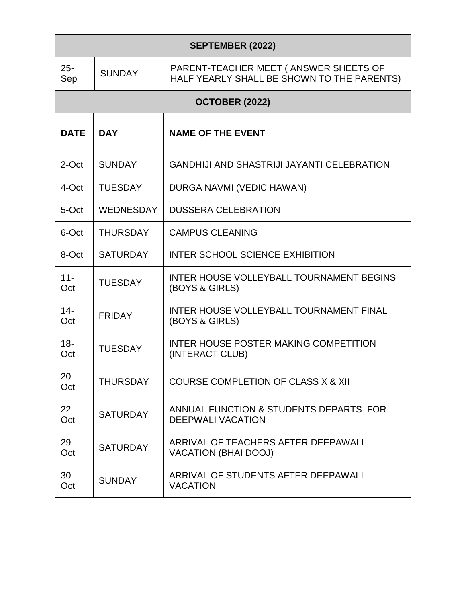| <b>SEPTEMBER (2022)</b> |                  |                                                                                      |  |
|-------------------------|------------------|--------------------------------------------------------------------------------------|--|
| $25 -$<br>Sep           | <b>SUNDAY</b>    | PARENT-TEACHER MEET ( ANSWER SHEETS OF<br>HALF YEARLY SHALL BE SHOWN TO THE PARENTS) |  |
|                         |                  | <b>OCTOBER (2022)</b>                                                                |  |
| <b>DATE</b>             | <b>DAY</b>       | <b>NAME OF THE EVENT</b>                                                             |  |
| 2-Oct                   | <b>SUNDAY</b>    | <b>GANDHIJI AND SHASTRIJI JAYANTI CELEBRATION</b>                                    |  |
| 4-Oct                   | <b>TUESDAY</b>   | DURGA NAVMI (VEDIC HAWAN)                                                            |  |
| 5-Oct                   | <b>WEDNESDAY</b> | <b>DUSSERA CELEBRATION</b>                                                           |  |
| 6-Oct                   | <b>THURSDAY</b>  | <b>CAMPUS CLEANING</b>                                                               |  |
| 8-Oct                   | <b>SATURDAY</b>  | <b>INTER SCHOOL SCIENCE EXHIBITION</b>                                               |  |
| $11 -$<br>Oct           | <b>TUESDAY</b>   | <b>INTER HOUSE VOLLEYBALL TOURNAMENT BEGINS</b><br>(BOYS & GIRLS)                    |  |
| $14 -$<br>Oct           | <b>FRIDAY</b>    | INTER HOUSE VOLLEYBALL TOURNAMENT FINAL<br>(BOYS & GIRLS)                            |  |
| $18 -$<br>Oct           | <b>TUESDAY</b>   | INTER HOUSE POSTER MAKING COMPETITION<br>(INTERACT CLUB)                             |  |
| $20 -$<br>Oct           | <b>THURSDAY</b>  | <b>COURSE COMPLETION OF CLASS X &amp; XII</b>                                        |  |
| $22 -$<br>Oct           | <b>SATURDAY</b>  | ANNUAL FUNCTION & STUDENTS DEPARTS FOR<br><b>DEEPWALI VACATION</b>                   |  |
| $29 -$<br>Oct           | <b>SATURDAY</b>  | ARRIVAL OF TEACHERS AFTER DEEPAWALI<br><b>VACATION (BHAI DOOJ)</b>                   |  |
| $30-$<br>Oct            | <b>SUNDAY</b>    | ARRIVAL OF STUDENTS AFTER DEEPAWALI<br><b>VACATION</b>                               |  |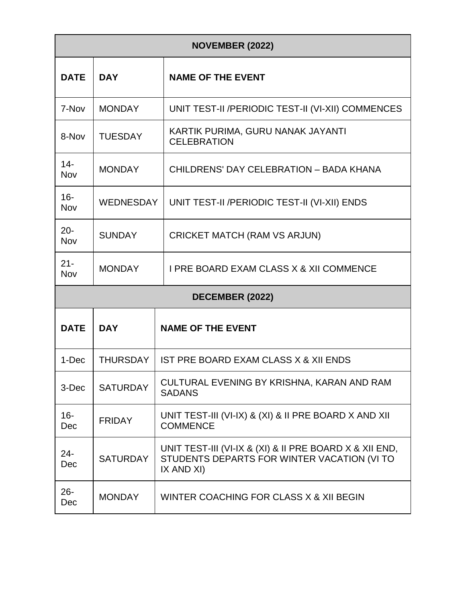| <b>NOVEMBER (2022)</b> |                  |                                                                                                                      |  |
|------------------------|------------------|----------------------------------------------------------------------------------------------------------------------|--|
| <b>DATE</b>            | <b>DAY</b>       | <b>NAME OF THE EVENT</b>                                                                                             |  |
| 7-Nov                  | <b>MONDAY</b>    | UNIT TEST-II /PERIODIC TEST-II (VI-XII) COMMENCES                                                                    |  |
| 8-Nov                  | <b>TUESDAY</b>   | KARTIK PURIMA, GURU NANAK JAYANTI<br><b>CELEBRATION</b>                                                              |  |
| $14 -$<br>Nov          | <b>MONDAY</b>    | CHILDRENS' DAY CELEBRATION - BADA KHANA                                                                              |  |
| $16 -$<br>Nov          | <b>WEDNESDAY</b> | UNIT TEST-II / PERIODIC TEST-II (VI-XII) ENDS                                                                        |  |
| $20 -$<br>Nov          | <b>SUNDAY</b>    | <b>CRICKET MATCH (RAM VS ARJUN)</b>                                                                                  |  |
| $21 -$<br>Nov          | <b>MONDAY</b>    | <b>I PRE BOARD EXAM CLASS X &amp; XII COMMENCE</b>                                                                   |  |
| DECEMBER (2022)        |                  |                                                                                                                      |  |
| <b>DATE</b>            | <b>DAY</b>       | <b>NAME OF THE EVENT</b>                                                                                             |  |
| 1-Dec                  | <b>THURSDAY</b>  | IST PRE BOARD EXAM CLASS X & XII ENDS                                                                                |  |
| 3-Dec                  | <b>SATURDAY</b>  | CULTURAL EVENING BY KRISHNA, KARAN AND RAM<br><b>SADANS</b>                                                          |  |
| $16 -$<br>Dec          | <b>FRIDAY</b>    | UNIT TEST-III (VI-IX) & (XI) & II PRE BOARD X AND XII<br><b>COMMENCE</b>                                             |  |
| 24-<br>Dec             | <b>SATURDAY</b>  | UNIT TEST-III (VI-IX & (XI) & II PRE BOARD X & XII END,<br>STUDENTS DEPARTS FOR WINTER VACATION (VI TO<br>IX AND XI) |  |
| $26 -$<br>Dec          | <b>MONDAY</b>    | WINTER COACHING FOR CLASS X & XII BEGIN                                                                              |  |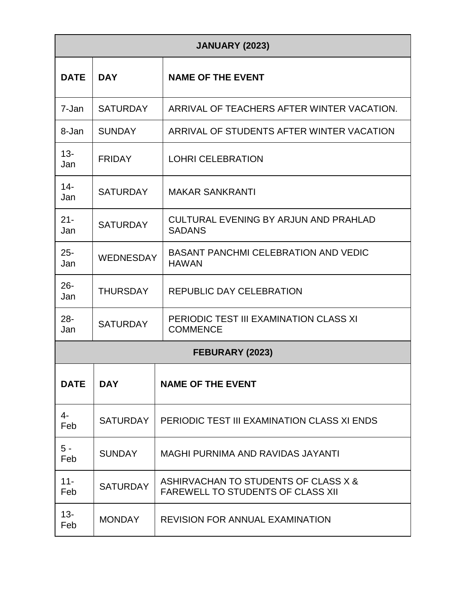| <b>JANUARY (2023)</b> |                  |                                                                                  |  |
|-----------------------|------------------|----------------------------------------------------------------------------------|--|
| <b>DATE</b>           | <b>DAY</b>       | <b>NAME OF THE EVENT</b>                                                         |  |
| 7-Jan                 | <b>SATURDAY</b>  | ARRIVAL OF TEACHERS AFTER WINTER VACATION.                                       |  |
| 8-Jan                 | <b>SUNDAY</b>    | ARRIVAL OF STUDENTS AFTER WINTER VACATION                                        |  |
| $13 -$<br>Jan         | <b>FRIDAY</b>    | <b>LOHRI CELEBRATION</b>                                                         |  |
| $14 -$<br>Jan         | <b>SATURDAY</b>  | <b>MAKAR SANKRANTI</b>                                                           |  |
| $21 -$<br>Jan         | <b>SATURDAY</b>  | CULTURAL EVENING BY ARJUN AND PRAHLAD<br><b>SADANS</b>                           |  |
| $25 -$<br>Jan         | <b>WEDNESDAY</b> | <b>BASANT PANCHMI CELEBRATION AND VEDIC</b><br><b>HAWAN</b>                      |  |
| $26 -$<br>Jan         | <b>THURSDAY</b>  | <b>REPUBLIC DAY CELEBRATION</b>                                                  |  |
| $28 -$<br>Jan         | <b>SATURDAY</b>  | PERIODIC TEST III EXAMINATION CLASS XI<br><b>COMMENCE</b>                        |  |
| FEBURARY (2023)       |                  |                                                                                  |  |
| <b>DATE</b>           | <b>DAY</b>       | <b>NAME OF THE EVENT</b>                                                         |  |
| $4-$<br>Feb           | <b>SATURDAY</b>  | PERIODIC TEST III EXAMINATION CLASS XI ENDS                                      |  |
| $5 -$<br>Feb          | <b>SUNDAY</b>    | MAGHI PURNIMA AND RAVIDAS JAYANTI                                                |  |
| $11 -$<br>Feb         | <b>SATURDAY</b>  | ASHIRVACHAN TO STUDENTS OF CLASS X &<br><b>FAREWELL TO STUDENTS OF CLASS XII</b> |  |
| $13 -$<br>Feb         | <b>MONDAY</b>    | <b>REVISION FOR ANNUAL EXAMINATION</b>                                           |  |